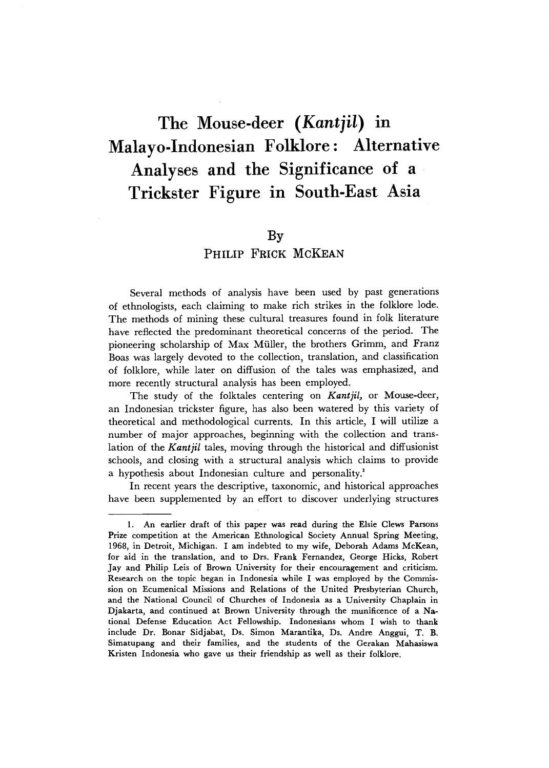# The Mouse-deer *(Kantjil)* in Malayo-Indonesian Folklore: Alternative Analyses and the Significance of a Trickster Figure in South-East Asia

# By

# PHILIP FRICK MCKEAN

Several methods of analysis have been used by past generations of ethnologists, each claiming to make rich strikes in the folklore lode. The methods of mining these cultural treasures found in folk literature have reflected the predominant theoretical concerns of the period. The pioneering scholarship of Max Müller, the brothers Grimm, and Franz Boas was largely devoted to the collection, translation, and classification of folklore, while later on diffusion of the tales was emphasized, and more recently structural analysis has been employed.

The study of the folktales centering on *Kantjil*, or Mouse-deer, an Indonesian trickster figure, has also been watered by this variety of theoretical and methodological currents. In this article, I will utilize a number of major approaches, beginning with the collection and translation of the *Kantjil* tales, moving through the historical and diffusionist schools, and closing with a structural analysis which claims to provide a hypothesis about Indonesian culture and personality.<sup>1</sup>

In recent years the descriptive, taxonomic, and historical approaches have been supplemented by an effort to discover underlying structures

<sup>1 .</sup> An earlier draft of this paper was read during the Elsie Clews Parsons Prize competition at the American Ethnological Society Annual Spring Meeting, 1968, in Detroit, Michigan. I am indebted to my wife, Deborah Adams McKean, for aid in the translation, and to Drs. Frank Fernandez, George Hicks, Robert Jay and Philip Leis of Brown University for their encouragement and criticism. Research on the topic began in Indonesia while I was employed by the Commission on Ecumenical Missions and Relations of the United Presbyterian Church, and the National Council of Churches of Indonesia as a University Chaplain in Djakarta, and continued at Brown University through the munificence of a National Defense Education Act Fellowship. Indonesians whom I wish to thank include Dr. Bonar Sidjabat, Ds. Simon Marantika, Ds. Andre Anggui, T. B. Simatupang and their families, and the students of the Gerakan Mahasiswa Kristen Indonesia who gave us their friendship as well as their folklore.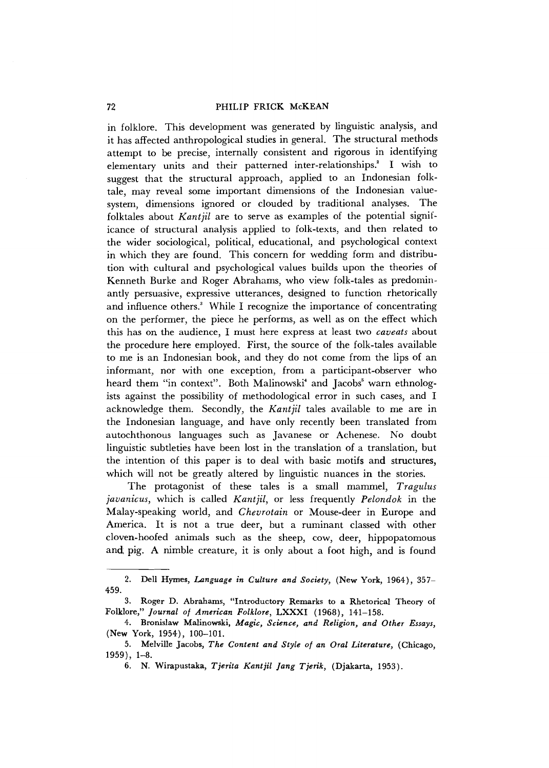in folklore. This development was generated by linguistic analysis, and it has affected anthropological studies in general. The structural methods attempt to be precise, internally consistent and rigorous in identifying elementary units and their patterned inter-relationships.<sup>2</sup> I wish to suggest that the structural approach, applied to an Indonesian folktale, may reveal some important dimensions of the Indonesian valuesystem, dimensions ignored or clouded by traditional analyses. The folktales about *Kantjil* are to serve as examples of the potential significance of structural analysis applied to folk-texts, and then related to the wider sociological, political, educational, and psychological context in which they are found. This concern for wedding form and distribution with cultural and psychological values builds upon the theories of Kenneth Burke and Roger Abrahams, who view folk-tales as predominantly persuasive, expressive utterances, designed to function rhetorically and influence others.<sup>3</sup> While I recognize the importance of concentrating on the performer, the piece he performs, as well as on the effect which this has on the audience,I must here express at least two *caveats* about the procedure here employed. First, the source of the folk-tales available to me is an Indonesian book, and they do not come from the lips of an informant, nor with one exception, from a participant-observer who heard them "in context". Both Malinowski<sup>4</sup> and Jacobs<sup>5</sup> warn ethnologists against the possibility of methodological error in such cases, and I acknowledge them. Secondly, the *Kantjil* tales available to me are in the Indonesian language, and have only recently been translated from autochthonous languages such as Javanese or Achenese. No doubt linguistic subtleties have been lost in the translation of a translation, but the intention of this paper is to deal with basic motifs and structures, which will not be greatly altered by linguistic nuances in the stories.

The protagonist of these tales is a small mammel*, Tragulus javanicus,* which is called *Kantjil,* or less frequently *Pelondok* in the Malay-speaking world,and *Chevrotain* or Mouse-deer in Europe and America. It is not a true deer, but a ruminant classed with other cloven-hoofed animals such as the sheep cow deer, hippopatomous and; pig. A nimble creature, it is only about a foot high, and is found

<sup>2.</sup> Dell Hymes, *Language in Culture and Society*, (New York, 1964), 357-459.

<sup>3.</sup> Roger D. Abrahams, "Introductory Remarks to a Rhetorical Theory of Folklore," *Journal of American Folklore*, LXXXI (1968), 141-158.

<sup>4.</sup> Bronislaw Malinowski, *Magic, Science and Religion, and Other Essays,* (New York, 1954), 100-101.

<sup>5.</sup> Melville Jacobs, *The Content and Style of an Oral Literature,* (Chicago, <sup>1959</sup>), 1-8.

<sup>6.</sup> N. Wirapustaka *Tjerita Kantjil Jang Tjerik* (Djakarta, 1953).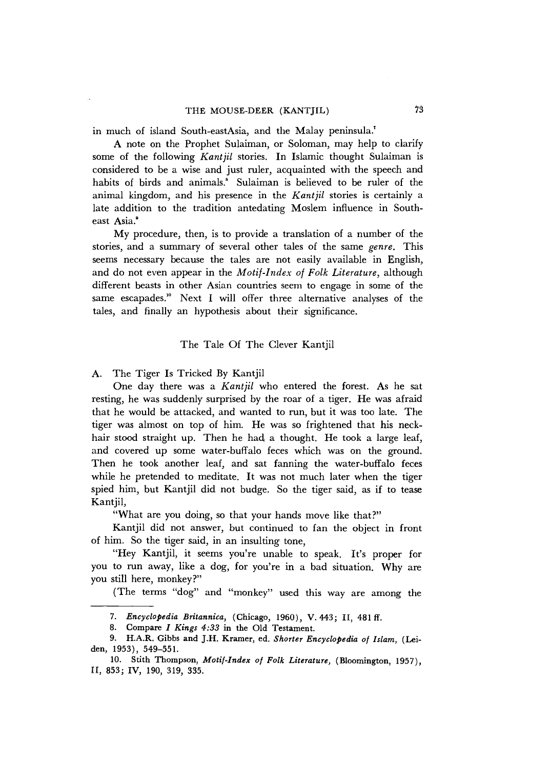in much of island South-eastAsia, and the Malay peninsula.<sup>7</sup>

A note on the Prophet Sulaiman, or Soloman, may help to clarify some of the following *Kantjil* stories. In Islamic thought Sulaiman is considered to be a wise and just ruler, acquainted with the speech and habits of birds and animals.<sup>8</sup> Sulaiman is believed to be ruler of the animal kingdom, and his presence in the *Kantjil* stories is certainly a late addition to the tradition antedating Moslem influence in Southeast Asia.<sup>9</sup>

My procedure, then, is to provide a translation of a number of the stories, and a summary of several other tales of the same *genre*. This seems necessary because the tales are not easily available in English, and do not even appear in the *Motif-Index of Folk Literature,* although different beasts in other Asian countries seem to engage in some of the same escapades.<sup>30</sup> Next I will offer three alternative analyses of the tales, and finally an hypothesis about their significance.

#### The Tale Of The Clever Kantjil

A. The Tiger Is Tricked By Kantjil

One day there was a *Kantjil* who entered the forest. As he sat resting, he was suddenly surprised by the roar of a tiger. He was afraid that he would be attacked, and wanted to run, but it was too late. The tiger was almost on top of him. He was so frightened that his neckhair stood straight up. Then he had a thought. He took a large leaf, and covered up some water-buffalo feces which was on the ground. Then he took another leaf, and sat fanning the water-buffalo feces while he pretended to meditate. It was not much later when the tiger spied him, but Kantjil did not budge. So the tiger said, as if to tease Kantjil

"What are you doing, so that your hands move like that?"

Kantjil did not answer, but continued to fan the object in front of him. So the tiger said, in an insulting tone,

"Hey Kantjil, it seems you're unable to speak. It's proper for you to run away, like a dog, for you're in a bad situation. Why are you still here, monkey?"

(The terms "dog" and "monkey" used this way are among the

<sup>7.</sup> *Encyclopedia Britannica*, (Chicago, 1960), V. 443; II, 481 ff.

<sup>8.</sup> Compare *I Kings 4:33* in the Old Testament.

<sup>9.</sup> H.A.R. Gibbs and J.H. Kramer, ed. *Shorter Encyclopedia of Islam,* (Leiden, 1953), 549-551.

<sup>10.</sup> Stith Thompson, *Motif-Index of Folk Literature,* (Bloomington, 1957), II, 853; IV, 190, 319, 335.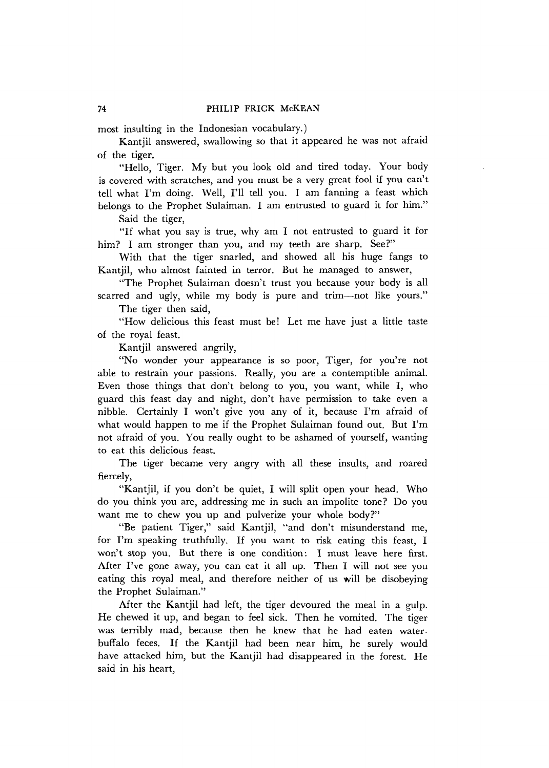most insulting in the Indonesian vocabulary.)

Kantjil answered, swallowing so that it appeared he was not afraid of the tiger.

"Hello, Tiger. My but you look old and tired today. Your body is covered with scratches, and you must be a very great fool if you can't tell what I'm doing. Well, I'll tell you. I am fanning a feast which belongs to the Prophet Sulaiman. I am entrusted to guard it for him."

Said the tiger

"If what you say is true,why am I not entrusted to guard it for him? I am stronger than you, and my teeth are sharp. See?"

With that the tiger snarled, and showed all his huge fangs to Kantjil, who almost fainted in terror. But he managed to answer,

"The Prophet Sulaiman doesn't trust you because your body is all scarred and ugly, while my body is pure and trim—not like yours."

The tiger then said

"How delicious this feast must be! Let me have just a little taste of the royal feast.

Kantjil answered angrily

"No wonder your appearance is so poor, Tiger, for you're not able to restrain your passions. Really, you are a contemptible animal. Even those things that don't belong to you, you want, while I, who guard this feast day and night, don't have permission to take even a nibble. Certainly I won't give you any of it, because I'm afraid of what would happen to me if the Prophet Sulaiman found out. But I'm not afraid of you. You really ought to be ashamed of yourself, wanting to eat this delicious feast.

The tiger became very angry with all these insults, and roared fiercely

"Kantjil, if you don't be quiet, I will split open your head. Who do you think you are, addressing me in such an impolite tone? Do you want me to chew you up and pulverize your whole body?"

"Be patient Tiger," said Kantjil, "and don't misunderstand me, for I'm speaking truthfully. If you want to risk eating this feast, I won't stop you. But there is one condition: I must leave here first. After I've gone away, you can eat it all up. Then I will not see you eating this royal meal, and therefore neither of us will be disobeying the Prophet Sulaiman."

After the Kantjil had left, the tiger devoured the meal in a gulp. He chewed it up, and began to feel sick. Then he vomited. The tiger was terribly mad, because then he knew that he had eaten waterbuffalo feces. If the Kantjil had been near him, he surely would have attacked him, but the Kantjil had disappeared in the forest. He said in his heart,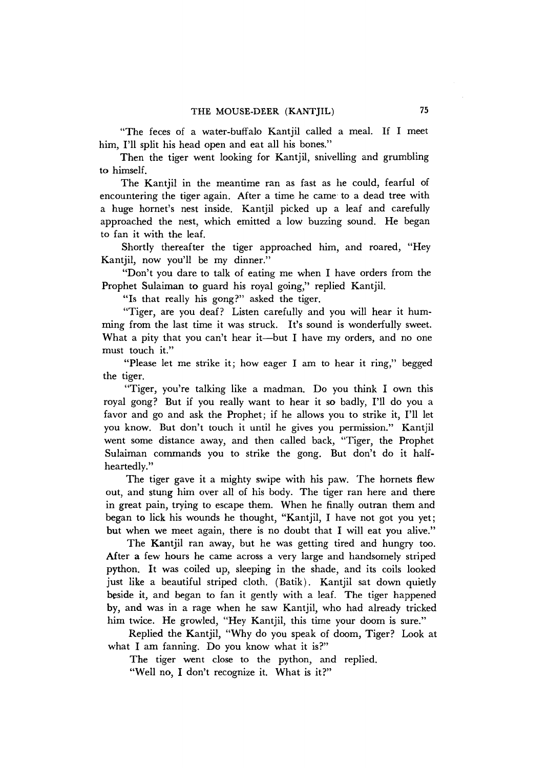"The feces of a water-buffalo Kantjil called a meal. If I meet him, I'll split his head open and eat all his bones."

Then the tiger went looking for Kantjil, snivelling and grumbling to himself.

The Kantjil in the meantime ran as fast as he could, fearful of encountering the tiger again. After a time he came to a dead tree with a huge hornet's nest inside. Kantjil picked up a leaf and carefully approached the nest, which emitted a low buzzing sound. He began to fan it with the leaf.

Shortly thereafter the tiger approached him, and roared, "Hey Kantjil, now you'll be my dinner."

"Don't you dare to talk of eating me when I have orders from the Prophet Sulaiman to guard his royal going,'' replied Kantjil.

"Is that really his gong?" asked the tiger.

"Tiger, are you deaf? Listen carefully and you will hear it humming from the last time it was struck. It's sound is wonderfully sweet. What a pity that you can't hear it—but I have my orders, and no one must touch it."

"Please let me strike it; how eager I am to hear it ring," begged the tiger.

"Tiger, you're talking like a madman. Do you think  $I$  own this royal gong? But if you really want to hear it so badly, I'll do you a favor and go and ask the Prophet; if he allows you to strike it, I'll let you know. But don't touch it until he gives you permission." Kantjil went some distance away, and then called back, "Tiger, the Prophet Sulaiman commands you to strike the gong. But don't do it halfheartedly."

The tiger gave it a mighty swipe with his paw. The hornets flew out, and stung him over all of his body. The tiger ran here and there in great pain, trying to escape them. When he finally outran them and began to lick his wounds he thought, "Kantjil, I have not got you yet; but when we meet again, there is no doubt that I will eat you alive."

The Kantjil ran away, but he was getting tired and hungry too. After a few hours he came across a very large and handsomely striped python. It was coiled up, sleeping in the shade, and its coils looked just like a beautiful striped cloth. (Batik). Kantjil sat down quietly beside it, and began to fan it gently with a leaf. The tiger happened by, and was in a rage when he saw Kantjil, who had already tricked him twice. He growled, "Hey Kantjil, this time your doom is sure."

Replied the Kantjil, "Why do you speak of doom, Tiger? Look at what I am fanning. Do you know what it is?"

The tiger went close to the python, and replied.

"Well no,I don't recognize it. What is it?''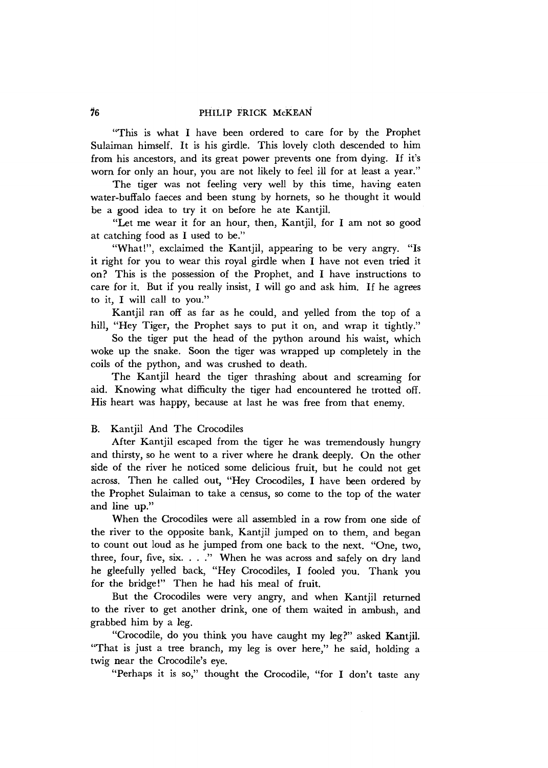## <sup>76</sup> PHILIP FRICK McKEAN

"This is what I have been ordered to care for by the Prophet Sulaiman himself. It is his girdle. This lovely cloth descended to him from his ancestors, and its great power prevents one from dying. If it's worn for only an hour, you are not likely to feel ill for at least a year."

The tiger was not feeling very well by this time, having eaten water-buffalo faeces and been stung by hornets, so he thought it would be a good idea to try it on before he ate Kantjil.

"Let me wear it for an hour, then, Kantjil, for I am not so good at catching food as I used to be."

"What!", exclaimed the Kantiil, appearing to be very angry. "Is it right for you to wear this royal girdle when I have not even tried it on? This is the possession of the Prophet, and I have instructions to care for it. But if you really insist,I will go and ask him. If he agrees to it,I will call to you."

Kantjil ran off as far as he could, and yelled from the top of a hill, "Hey Tiger, the Prophet says to put it on, and wrap it tightly."

So the tiger put the head of the python around his waist, which woke up the snake. Soon the tiger was wrapped up completely in the coils of the python, and was crushed to death.

The Kantjil heard the tiger thrashing about and screaming for aid. Knowing what difficulty the tiger had encountered he trotted off. His heart was happy, because at last he was free from that enemy.

#### B. Kantjil And The Crocodiles

After Kantjil escaped from the tiger he was tremendously hungry and thirsty, so he went to a river where he drank deeply. On the other side of the river he noticed some delicious fruit, but he could not get across. Then he called out, "Hey Crocodiles,I have been ordered by the Prophet Sulaiman to take a census, so come to the top of the water and line up."

When the Crocodiles were all assembled in a row from one side of the river to the opposite bank, Kantjil jumped on to them, and began to count out loud as he jumped from one back to the next. "One, two, three, four, five, six.  $\ldots$ ." When he was across and safely on dry land he gleefully yelled back, "Hey Crocodiles,I fooled you. Thank you for the bridge!" Then he had his meal of fruit.

But the Crocodiles were very angry, and when Kantjil returned to the river to get another drink, one of them waited in ambush, and grabbed him by a leg.

"Crocodile, do you think you have caught my leg?" asked Kantjil. "That is just a tree branch, my leg is over here," he said, holding a twig near the Crocodile's eye.

"Perhaps it is so," thought the Crocodile, "for I don't taste any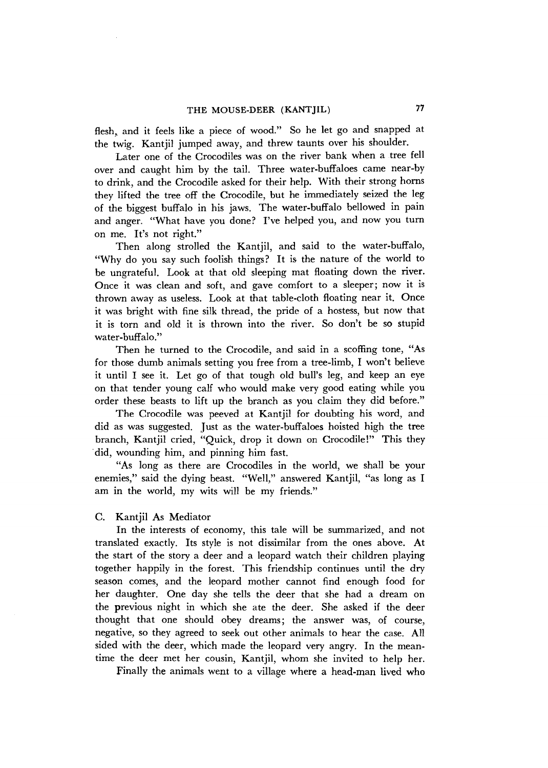flesh, and it feels like a piece of wood." So he let go and snapped at the twig. Kantjil jumped away, and threw taunts over his shoulder.

Later one of the Crocodiles was on the river bank when a tree fell over and caught him by the tail. Three water-buffaloes came near-by to drink, and the Crocodile asked for their help. With their strong horns they lifted the tree off the Crocodile, but he immediately seized the leg of the biggest buffalo in his jaws. The water-buffalo bellowed in pain and anger. "What have you done? I've helped you, and now you turn on me. It's not right."

Then along strolled the Kantjil, and said to the water-buffalo, "Why do you say such foolish things? It is the nature of the world to be ungrateful. Look at that old sleeping mat floating down the river. Once it was clean and soft, and gave comfort to a sleeper; now it is thrown away as useless. Look at that table-cloth floating near it. Once it was bright with fine silk thread, the pride of a hostess, but now that it is torn and old it is thrown into the river. So don't be so stupid water-buffalo."

Then he turned to the Crocodile, and said in a scoffing tone, "As for those dumb animals setting you free from a tree-limb,I won't believe it until I see it. Let go of that tough old bull's leg, and keep an eye on that tender young calf who would make very good eating while you order these beasts to lift up the branch as you claim they did before."

The Crocodile was peeved at Kantjil for doubting his word, and did as was suggested. Just as the water-buffaloes hoisted high the tree branch, Kantjil cried, "Quick, drop it down on Crocodile!" This they did, wounding him, and pinning him fast.

"As long as there are Crocodiles in the world, we shall be your enemies," said the dying beast. "Well," answered Kantjil, "as long as I am in the world, my wits will be my friends."

#### C. Kantjil As Mediator

In the interests of economy, this tale will be summarized, and not translated exactly. Its style is not dissimilar from the ones above. At the start of the story a deer and a leopard watch their children playing together happily in the forest. Ihis friendship continues until the dry season comes, and the leopard mother cannot find enough food for her daughter. One day she tells the deer that she had a dream on the previous night in which she ate the deer. She asked if the deer thought that one should obey dreams; the answer was, of course, negative, so they agreed to seek out other animals to hear the case. All sided with the deer, which made the leopard very angry. In the meantime the deer met her cousin, Kantjil, whom she invited to help her.

Finally the animals went to a village where a head-man lived who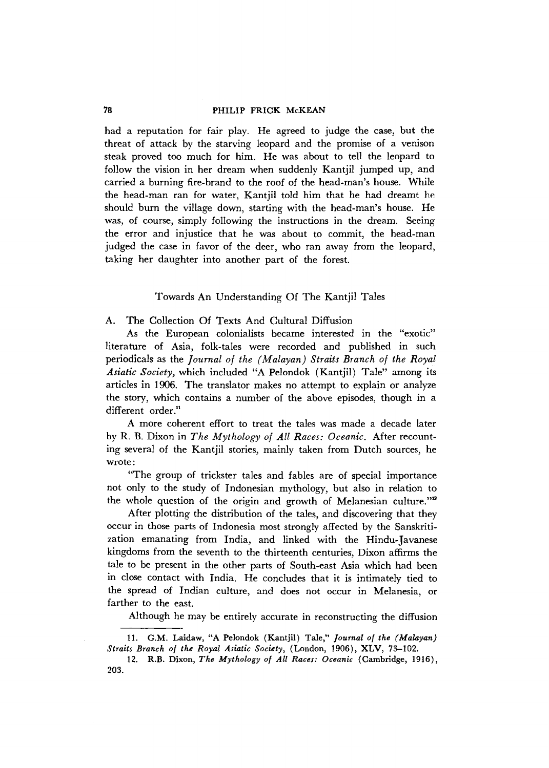had a reputation for fair play. He agreed to judge the case, but the threat of attack by the starving leopard and the promise of a venison steak proved too much for him. He was about to tell the leopard to follow the vision in her dream when suddenly Kantjil jumped up, and carried a burning fire-brand to the roof of the head-man's house. While the head-man ran for water, Kantjil told him that he had dreamt he should burn the village down, starting with the head-man's house. He was, of course, simply following the instructions in the dream. Seeing the error and injustice that he was about to commit, the head-man judged the case in favor of the deer, who ran away from the leopard, taking her daughter into another part of the forest.

#### Towards An Understanding Of The Kantjil Tales

A. The Collection Of Texts And Cultural Diffusion

As the European colonialists became interested in the "exotic" literature of Asia, folk-tales were recorded and published in such periodicals as the *Journal of the (Malayan) Straits Branch of the Royal Asiatic Society,* which included "A Pelondok (Kantjil) Tale" among its articles in 1906. The translator makes no attempt to explain or analyze the story, which contains a number of the above episodes, though in a different order.<sup>11</sup>

A more coherent effort to treat the tales was made a decade later by R. B. Dixon in *The Mythology of All Races: Oceanic.* After recounting several of the Kantjil stories, mainly taken from Dutch sources, he wrote:

"The group of trickster tales and fables are of special importance not only to the study of Indonesian mythology, but also in relation to the whole question of the origin and growth of Melanesian culture."<sup>2</sup>

After plotting the distribution of the tales, and discovering that they occur in those parts of Indonesia most strongly affected by the Sanskritization emanating from India, and linked with the Hindu-Javanese kingdoms from the seventh to the thirteenth centuries, Dixon affirms the tale to be present in the other parts of South-east Asia which had been in close contact with India. He concludes that it is intimately tied to the spread of Indian culture, and does not occur in Melanesia, or farther to the east.

Although he may be entirely accurate in reconstructing the diffusion

<sup>11.</sup> G.M. Laidaw, "A Pelondok (Kantjil) Tale," Journal of the (Malayan) Straits Branch of the Royal Asiatic Society, (London, 1906), XLV, 73-102.

<sup>12.</sup> R.B. Dixon, *The Mythology of All Races: Oceanic* (Cambridge, 1916), 203.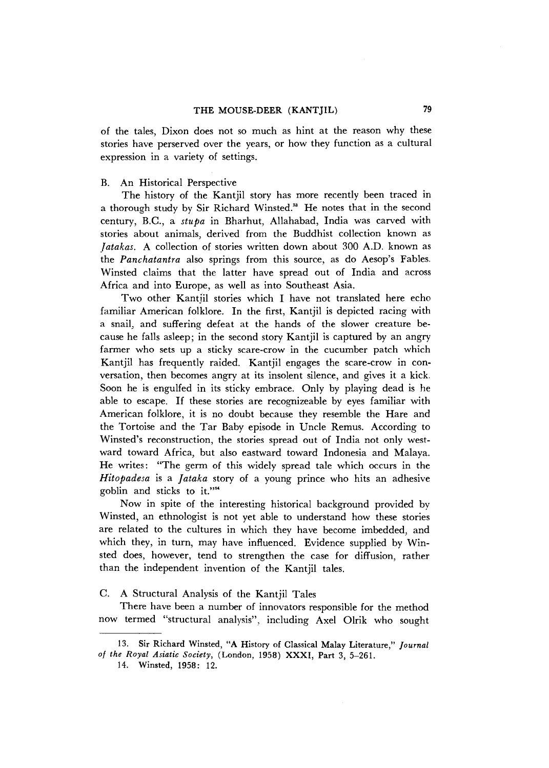of the tales, Dixon does not so much as hint at the reason why these stories have perserved over the years, or how they function as a cultural expression in a variety of settings.

#### B. An Historical Perspective

The history of the Kantjil story has more recently been traced in a thorough study by Sir Richard Winsted.<sup>33</sup> He notes that in the second century, B.C., a *stupa* in Bharhut, Allahabad, India was carved with stories about animals, derived from the Buddhist collection known as *Jatakas.* A collection of stories written down about 300 A.D. known as the *Pane hat antra* also springs from this source, as do Aesop's Fables. Winsted claims that the latter have spread out of India and across Africa and into Europe, as well as into Southeast Asia.

Two other Kantjil stories which I have not translated here echo familiar American folklore. In the first, Kantjil is depicted racing with a snail) and suffering defeat at the hands of the slower creature because he falls asleep; in the second story Kantjil is captured by an angry farmer who sets up a sticky scare-crow in the cucumber patch which Kantjil has frequently raided. Kantjil engages the scare-crow in conversation, then becomes angry at its insolent silence, and gives it a kick. Soon he is engulfed in its sticky embrace. Only by playing dead is he able to escape. If these stories are recognizeable by eyes familiar with American folklore, it is no doubt because they resemble the Hare and the Tortoise and the Tar Baby episode in Uncle Remus. According to Winsted's reconstruction, the stories spread out of India not only westward toward Africa, but also eastward toward Indonesia and Malaya. He writes: "The germ of this widely spread tale which occurs in the *Hitopadesa* is a *Jataka* story of a young prince who hits an adhesive goblin and sticks to it."<sup>14</sup>

Now in spite of the interesting historical background provided by Winsted, an ethnologist is not yet able to understand how these stories are related to the cultures in which they have become imbedded, and which they, in turn, may have influenced. Evidence supplied by Winsted does, however, tend to strengthen the case for diffusion, rather than the independent invention of the Kantjil tales.

C. A Structural Analysis of the Kantjil Tales

There have been a number of innovators responsible for the method now termed "structural analysis", including Axel Olrik who sought

<sup>13.</sup> Sir Richard Winsted, "A History of Classical Malay Literature," *Journal* of the Royal Asiatic Society, (London, 1958) XXXI, Part 3, 5-261.

<sup>14.</sup> Winsted, 1958:12.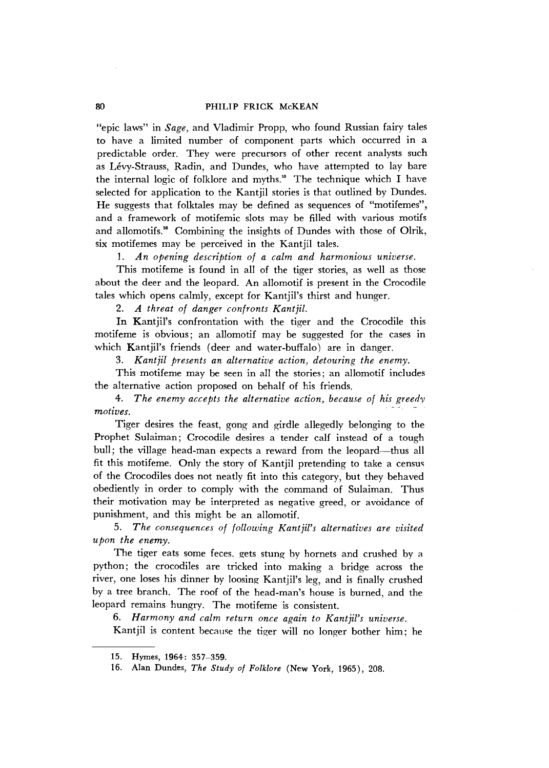"epic laws" in *Sage,* and Vladimir Propp,who found Russian fairy tales to have a limited number of component parts which occurred in a predictable order. They were precursors of other recent analysts such as Lévy-Strauss, Radin, and Dundes, who have attempted to lay bare the internal logic of folklore and myths.<sup>15</sup> The technique which I have selected for application to the Kantjil stories is that outlined by Dundes. He suggests that folktales may be defined as sequences of "motifemes", and a framework of motifemic slots may be filled with various motifs and allomotifs.<sup>16</sup> Combining the insights of Dundes with those of Olrik, six motifemes may be perceived in the Kantjil tales.

1*. An opening description of a calm and harmonious universe.*

This motifeme is found in all of the tiger stories, as well as those about the deer and the leopard. An allomotif is present in the Crocodile tales which opens calmly, except for Kantjil's thirst and hunger.

2. *A threat of danger confronts Kantjil.*

In Kantjil's confrontation with the tiger and the Crocodile this motifeme is obvious; an allomotif may be suggested for the cases in which Kantjil's friends (deer and water-buffalo) are in danger.

3. *Kantjil presents an alternative action detouring the enemy.*

This motifeme may be seen in all the stories; an allomotif includes the alternative action proposed on behalf of his friends.

4. *The enemy accepts the alternative action, because of his greedy motives.*

Tiger desires the feast, gong and girdle allegedly belonging to the Prophet Sulaiman; Crocodile desires a tender calf instead of a tough bull; the village head-man expects a reward from the leopard—thus all fit this motifeme. Only the story of Kantjil pretending to take a census of the Crocodiles does not neatly fit into this category, but they behaved obediently in order to comply with the command of Sulaiman. Thus their motivation may be interpreted as negative greed, or avoidance of punishment, and this might be an allomotif.

5. *The consequences of following KantjiFs alternatives are visited upon the enemy.*

The tiger eats some feces, gets stung by hornets and crushed by a python; the crocodiles are tricked into making a bridge across the river, one loses his dinner by loosing Kantjil's leg, and is finally crushed by a tree branch. The roof of the head-man's house is burned, and the leopard remains hungry. The motifeme is consistent.

6. *Harmony and calm return once again to KantjiFs universe.*

Kantjil is content because the tiger will no longer bother him; he

<sup>15.</sup> Hymes, 1964: 357-359.

<sup>16.</sup> Alan Dundes, The Study of Folklore (New York, 1965), 208.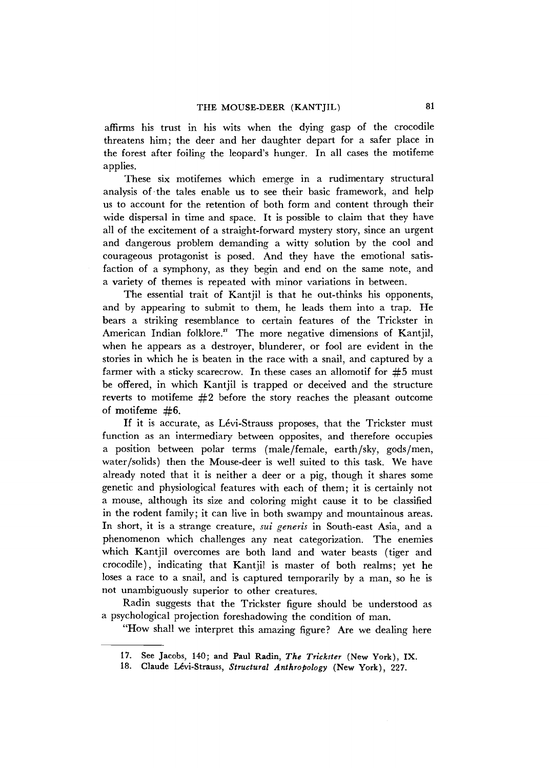affirms his trust in his wits when the dying gasp of the crocodile threatens him; the deer and her daughter depart for a safer place in the forest after foiling the leopard's hunger. In all cases the motifeme applies.

These six motifemes which emerge in a rudimentary structural analysis of the tales enable us to see their basic framework, and help us to account for the retention of both form and content through their wide dispersal in time and space. It is possible to claim that they have all of the excitement of a straight-forward mystery story, since an urgent and dangerous problem demanding a witty solution by the cool and courageous protagonist is posed. And they have the emotional satisfaction of a symphony, as they begin and end on the same note, and a variety of themes is repeated with minor variations in between.

The essential trait of Kantjil is that he out-thinks his opponents, and by appearing to submit to them, he leads them into a trap. He bears a striking resemblance to certain features of the Trickster in American Indian folklore.<sup>17</sup> The more negative dimensions of Kantiil, when he appears as a destroyer, blunderer, or fool are evident in the stories in which he is beaten in the race with a snail, and captured by a farmer with a sticky scarecrow. In these cases an allomotif for  $#5$  must be offered, in which Kantjil is trapped or deceived and the structure reverts to motifeme  $#2$  before the story reaches the pleasant outcome of motifeme  $#6$ .

If it is accurate, as Lévi-Strauss proposes, that the Trickster must function as an intermediary between opposites, and therefore occupies a position between polar terms (male/female, earth/sky, gods/men, water/solids) then the Mouse-deer is well suited to this task. We have already noted that it is neither a deer or a pig, though it shares some genetic and physiological features with each of them; it is certainly not a mouse, although its size and coloring might cause it to be classified in the rodent family; it can live in both swampy and mountainous areas. In short, it is a strange creature, *sui generis* in South-east Asia, and a phenomenon which challenges any neat categorization. The enemies which Kantjil overcomes are both land and water beasts (tiger and crocodile), indicating that Kantjil is master of both realms; yet he loses a race to a snail, and is captured temporarily by a man, so he is not unambiguously superior to other creatures.

Radin suggests that the Trickster figure should be understood as a psychological projection foreshadowing the condition of man.

"How shall we interpret this amazing figure? Are we dealing here

<sup>17.</sup> See Jacobs, 140; and Paul Radin, *The Trickster* (New York), IX.

<sup>18.</sup> Claude Lévi-Strauss, *Structural Anthropology* (New York), 227.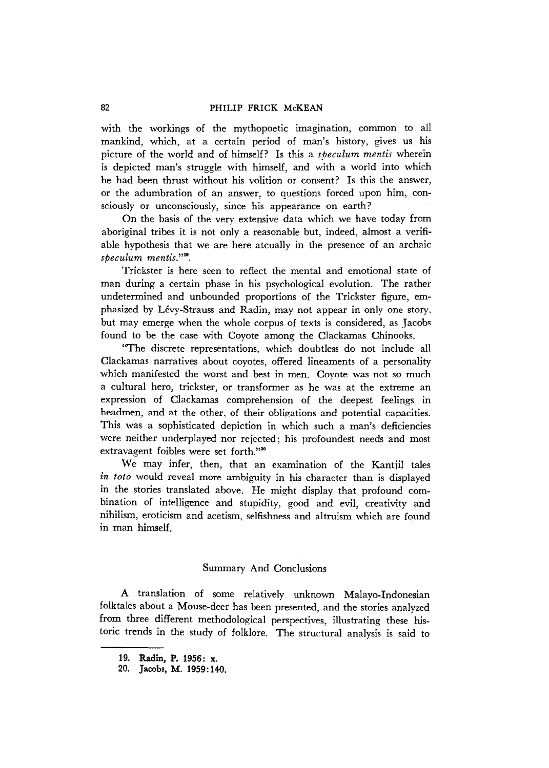with the workings of the mythopoetic imagination, common to all mankind, which, at a certain period of man's history, gives us his picture of the world and of himself? Is this a *speculum mentis* wherein is depicted man's struggle with himself, and with a world into which he had been thrust without his volition or consent? Is this the answer, or the adumbration of an answer, to questions forced upon him, consciously or unconsciously, since his appearance on earth?

On the basis of the very extensive data which we have today from aboriginal tribes it is not only a reasonable but, indeed, almost a verifiable hypothesis that we are here atcually in the presence of an archaic *speculum mentis*

Trickster is here seen to reflect the mental and emotional state of man during a certain phase in his psychological evolution. The rather undetermined and unbounded proportions of the Trickster figure, emphasized by Lévy-Strauss and Radin, may not appear in only one story, but may emerge when the whole corpus of texts is considered, as Jacobs found to be the case with Coyote among the Clackamas Chinooks.

"The discrete representations, which doubtless do not include all Clackamas narratives about coyotes, offered lineaments of a personality which manifested the worst and best in men. Coyote was not so much a cultural hero, trickster, or transformer as he was at the extreme an expression of Clackamas comprehension of the deepest feelings in headmen, and at the other, of their obligations and potential capacities. This was a sophisticated depiction in which such a man's deficiencies were neither underplayed nor rejected; his profoundest needs and most extravagent foibles were set forth."20

We may infer, then, that an examination of the Kantjil tales *in toto* would reveal more ambiguity in his character than is displayed in the stories translated above. He might display that profound combination of intelligence and stupidity, good and evil, creativity and nihilism, eroticism and acetism, selfishness and altruism which are found in man himself.

#### Summary And Conclusions

A translation of some relatively unknown Malayo-Indonesian folktales about a Mouse-deer has been presented, and the stories analyzed from three different methodological perspectives, illustrating these historic trends in the study of folklore. The structural analysis is said to

<sup>19.</sup> Radin, P. 1956: x.

<sup>20.</sup> Jacobs, M. 1959:140.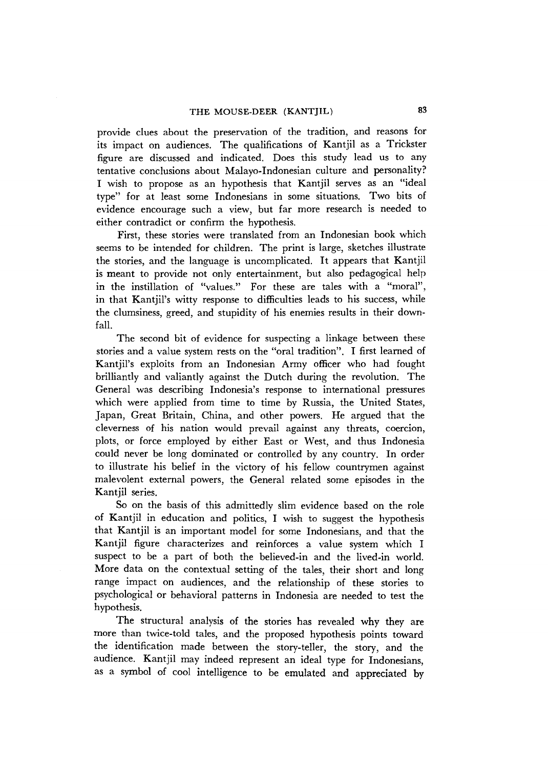provide clues about the preservation of the tradition, and reasons for its impact on audiences. The qualifications of Kantjil as a Trickster figure are discussed and indicated. Does this study lead us to any tentative conclusions about Malayo-Indonesian culture and personality? I wish to propose as an hypothesis that Kantjil serves as an "ideal type" for at least some Indonesians in some situations. Two bits of evidence encourage such a view, but far more research is needed to either contradict or confirm the hypothesis.

First, these stories were translated from an Indonesian book which seems to be intended for children. The print is large, sketches illustrate the stories, and the language is uncomplicated. It appears that Kantjil is meant to provide not only entertainment, but also pedagogical help in the instillation of "values." For these are tales with a "moral", in that Kantiil's witty response to difficulties leads to his success, while the clumsiness, greed, and stupidity of his enemies results in their downfall.

The second bit of evidence for suspecting a linkage between these stories and a value system rests on the "oral tradition". I first learned of Kantiil's exploits from an Indonesian Army officer who had fought brilliantly and valiantly against the Dutch during the revolution. The General was describing Indonesia's response to international pressures which were applied from time to time by Russia, the United States, Japan, Great Britain, China, and other powers. He argued that the cleverness of his nation would prevail against any threats, coercion, plots, or force employed by either East or West, and thus Indonesia could never be long dominated or controlled by any country. In order to illustrate his belief in the victory of his fellow countrymen against malevolent external powers, the General related some episodes in the Kantiil series.

So on the basis of this admittedly slim evidence based on the role of Kantjil in education and politics, I wish to suggest the hypothesis that Kantjil is an important model for some Indonesians, and that the Kantjil figure characterizes and reinforces a value system which I suspect to be a part of both the believed-in and the lived-in world. More data on the contextual setting of the tales, their short and long range impact on audiences, and the relationship of these stories to psychological or behavioral patterns in Indonesia are needed to test the hypothesis.

The structural analysis of the stories has revealed why they are more than twice-told tales, and the proposed hypothesis points toward the identification made between the story-teller, the story, and the audience. Kantjil may indeed represent an ideal type for Indonesians, as a symbol of cool intelligence to be emulated and appreciated by